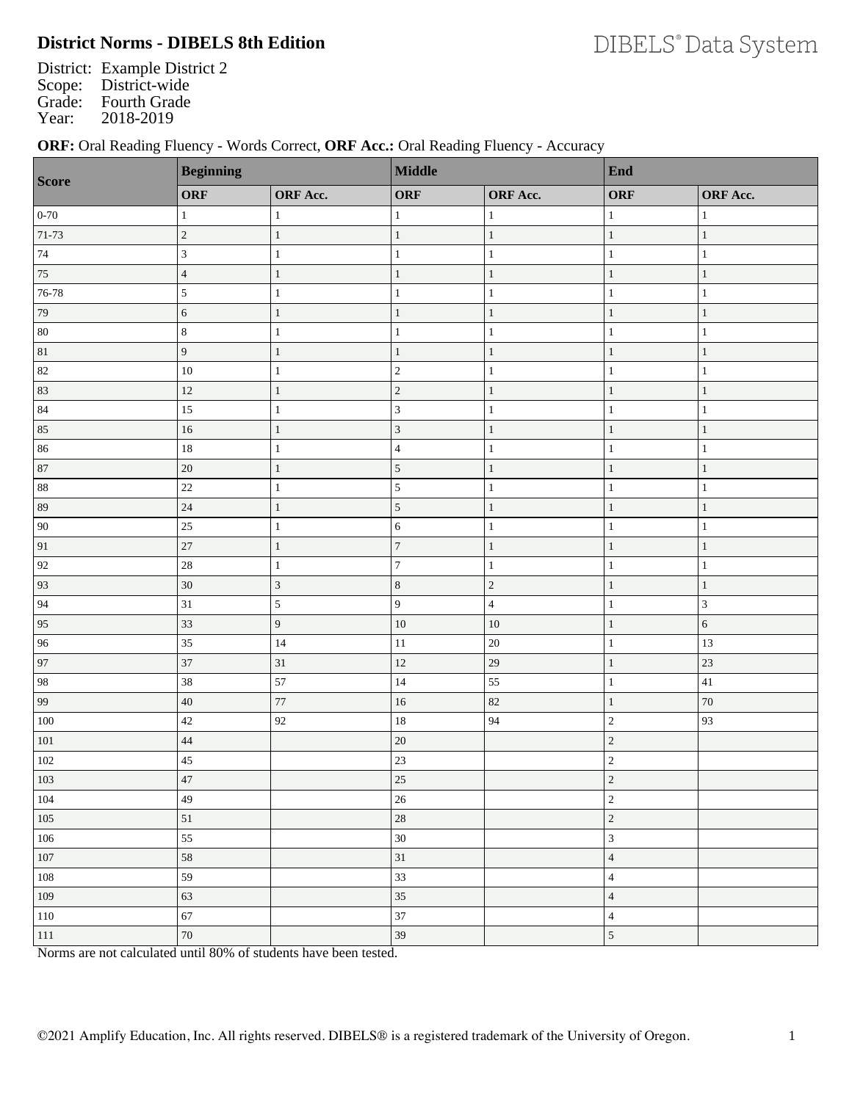# **District Norms - DIBELS 8th Edition**

District: Example District 2 Scope: District-wide Grade: Fourth Grade<br>Year: 2018-2019 2018-2019

### **ORF:** Oral Reading Fluency - Words Correct, **ORF Acc.:** Oral Reading Fluency - Accuracy

| Score           | <b>Beginning</b> |                 | Middle           |                 | End                     |               |
|-----------------|------------------|-----------------|------------------|-----------------|-------------------------|---------------|
|                 | <b>ORF</b>       | <b>ORF</b> Acc. | ORF              | <b>ORF</b> Acc. | <b>ORF</b>              | ORF Acc.      |
| $0 - 70$        | $\mathbf{1}$     | 1               | $\mathbf{1}$     | 1               | $\mathbf{1}$            | $\mathbf{1}$  |
| $71 - 73$       | $\sqrt{2}$       | $\mathbf{1}$    | $\mathbf{1}$     | $\mathbf{1}$    | $\mathbf{1}$            | $\mathbf{1}$  |
| $74\,$          | $\sqrt{3}$       | $\mathbf{1}$    | $\mathbf{1}$     | $\mathbf{1}$    | $\mathbf{1}$            | $\,1\,$       |
| $\overline{75}$ | $\sqrt{4}$       | $\mathbf{1}$    | $\mathbf{1}$     | $\mathbf{1}$    | $\mathbf{1}$            | $\mathbf{1}$  |
| 76-78           | $\sqrt{5}$       | $\mathbf{1}$    | $\mathbf{1}$     | $\mathbf{1}$    | $\mathbf{1}$            | $\mathbf{1}$  |
| 79              | $\sqrt{6}$       | $\,1\,$         | $\mathbf{1}$     | $\mathbf{1}$    | $\mathbf{1}$            | $\,1\,$       |
| $80\,$          | $\,8\,$          | $\mathbf{1}$    | $\mathbf{1}$     | $\mathbf{1}$    | $\mathbf{1}$            | $\mathbf{1}$  |
| $81\,$          | $\boldsymbol{9}$ | $\mathbf{1}$    | $\mathbf{1}$     | $\mathbf{1}$    | $\mathbf{1}$            | $\mathbf{1}$  |
| 82              | $10\,$           | $\mathbf{1}$    | $\sqrt{2}$       | $\mathbf{1}$    | $\mathbf{1}$            | $\mathbf{1}$  |
| 83              | 12               | $\mathbf{1}$    | $\sqrt{2}$       | $\mathbf{1}$    | $\mathbf{1}$            | $\mathbf{1}$  |
| $\bf 84$        | $15\,$           | $\mathbf{1}$    | $\overline{3}$   | $\mathbf{1}$    | 1                       | $\mathbf{1}$  |
| 85              | $16\,$           | $\,1\,$         | $\mathfrak 3$    | $\mathbf{1}$    | $\mathbf{1}$            | $\mathbf{1}$  |
| 86              | $18\,$           | $\mathbf{1}$    | $\overline{4}$   | $\mathbf{1}$    | $\mathbf{1}$            | $\,1\,$       |
| 87              | $20\,$           | $\mathbf{1}$    | $\sqrt{5}$       | $\mathbf{1}$    | $\mathbf{1}$            | $\mathbf{1}$  |
| $88\,$          | 22               | $\mathbf{1}$    | $\overline{5}$   | $\mathbf{1}$    | $\mathbf{1}$            | $\mathbf{1}$  |
| 89              | 24               | $\mathbf{1}$    | $\sqrt{5}$       | $\mathbf{1}$    | $\mathbf{1}$            | $\mathbf{1}$  |
| $90\,$          | $25\,$           | $\mathbf{1}$    | 6                | $\mathbf{1}$    | $\mathbf{1}$            | $\mathbf{1}$  |
| $\mathbf{91}$   | 27               | $\,1\,$         | $\boldsymbol{7}$ | $\mathbf{1}$    | $\mathbf{1}$            | $\,1\,$       |
| 92              | 28               | $\mathbf{1}$    | $\boldsymbol{7}$ | $\mathbf{1}$    | $\mathbf{1}$            | $\mathbf{1}$  |
| 93              | $30\,$           | $\mathfrak{Z}$  | $\,8\,$          | $\sqrt{2}$      | $\mathbf{1}$            | $\mathbf{1}$  |
| 94              | $31\,$           | $\sqrt{5}$      | $\overline{9}$   | $\sqrt{4}$      | $\mathbf{1}$            | $\mathfrak z$ |
| 95              | 33               | 9               | $10\,$           | $10\,$          | $\mathbf{1}$            | $\sqrt{6}$    |
| 96              | 35               | 14              | $1\,1$           | $20\,$          | $\mathbf{1}$            | 13            |
| 97              | 37               | 31              | 12               | 29              | $\mathbf{1}$            | 23            |
| 98              | 38               | 57              | 14               | 55              | $\mathbf{1}$            | $41\,$        |
| 99              | $40\,$           | $77\,$          | $16\,$           | $82\,$          | $\mathbf{1}$            | $70\,$        |
| $100\,$         | 42               | 92              | $18\,$           | 94              | $\overline{c}$          | 93            |
| $101\,$         | 44               |                 | 20               |                 | $\overline{c}$          |               |
| $102\,$         | $45\,$           |                 | 23               |                 | $\overline{c}$          |               |
| $103$           | 47               |                 | $\overline{25}$  |                 | $\overline{c}$          |               |
| $104\,$         | 49               |                 | $26\,$           |                 | $\overline{c}$          |               |
| $105\,$         | $51\,$           |                 | $28\,$           |                 | $\sqrt{2}$              |               |
| $106\,$         | 55               |                 | $30\,$           |                 | $\mathfrak{Z}$          |               |
| $107\,$         | $58\,$           |                 | 31               |                 | $\overline{4}$          |               |
| $108\,$         | 59               |                 | 33               |                 | $\overline{\mathbf{4}}$ |               |
| 109             | 63               |                 | 35               |                 | $\overline{4}$          |               |
| $110\,$         | 67               |                 | 37               |                 | $\overline{\mathbf{4}}$ |               |
| $111\,$         | $70\,$           |                 | $39\,$           |                 | $\mathfrak{S}$          |               |

Norms are not calculated until 80% of students have been tested.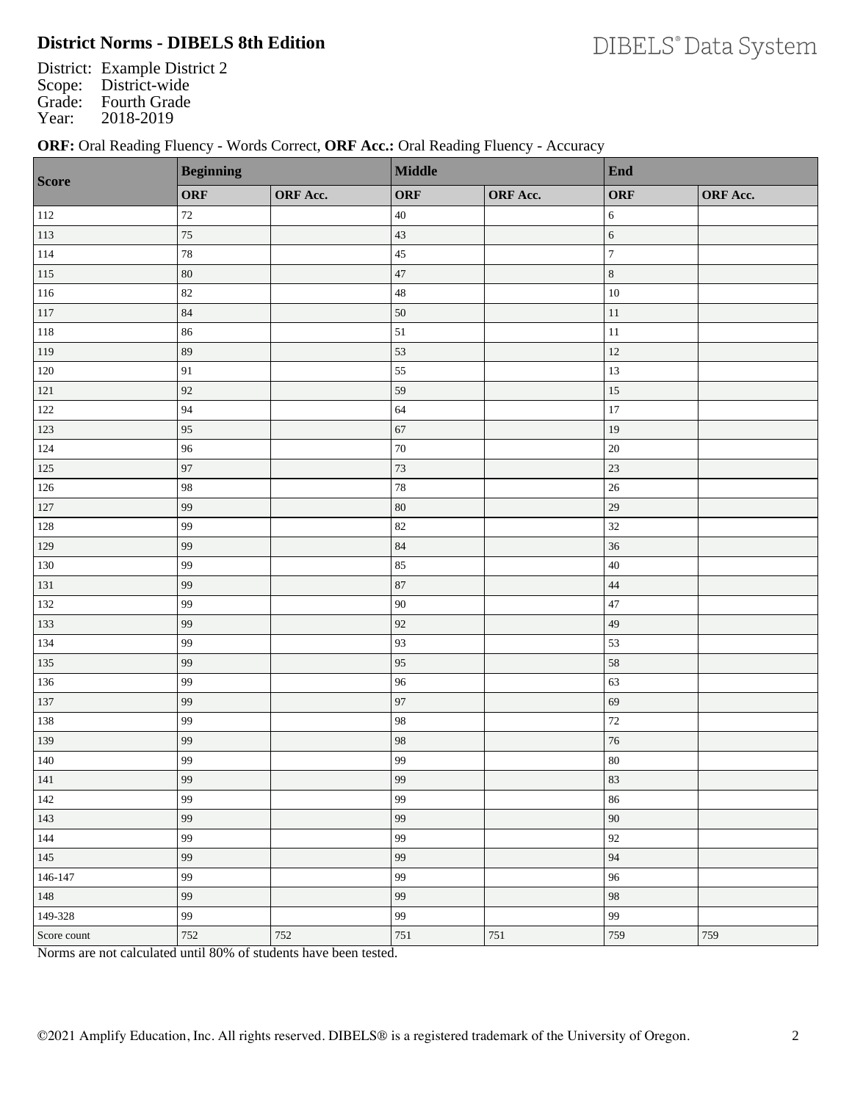## **District Norms - DIBELS 8th Edition**

District: Example District 2 Scope: District-wide Grade: Fourth Grade<br>Year: 2018-2019 2018-2019

### **ORF:** Oral Reading Fluency - Words Correct, **ORF Acc.:** Oral Reading Fluency - Accuracy

| <b>Score</b> | <b>Beginning</b> |          | <b>Middle</b> |                 | End                      |          |
|--------------|------------------|----------|---------------|-----------------|--------------------------|----------|
|              | <b>ORF</b>       | ORF Acc. | ORF           | <b>ORF</b> Acc. | <b>ORF</b>               | ORF Acc. |
| 112          | $72\,$           |          | $40\,$        |                 | 6                        |          |
| 113          | $75\,$           |          | 43            |                 | $\sqrt{6}$               |          |
| 114          | 78               |          | 45            |                 | $\overline{7}$           |          |
| $115\,$      | $80\,$           |          | 47            |                 | $\,8\,$                  |          |
| 116          | 82               |          | 48            |                 | $10\,$                   |          |
| 117          | 84               |          | 50            |                 | $11\,$                   |          |
| 118          | 86               |          | 51            |                 | $11\,$                   |          |
| 119          | 89               |          | 53            |                 | $12\,$                   |          |
| $120\,$      | 91               |          | 55            |                 | 13                       |          |
| $121\,$      | 92               |          | 59            |                 | 15                       |          |
| $122\,$      | 94               |          | 64            |                 | 17                       |          |
| 123          | 95               |          | 67            |                 | 19                       |          |
| 124          | 96               |          | $70\,$        |                 | $20\,$                   |          |
| $125\,$      | 97               |          | 73            |                 | 23                       |          |
| 126          | 98               |          | $78\,$        |                 | $26\,$                   |          |
| 127          | 99               |          | $80\,$        |                 | 29                       |          |
| 128          | 99               |          | 82            |                 | 32                       |          |
| 129          | 99               |          | 84            |                 | 36                       |          |
| 130          | 99               |          | 85            |                 | $40\,$                   |          |
| 131          | 99               |          | 87            |                 | $44\,$                   |          |
| 132          | 99               |          | 90            |                 | 47                       |          |
| 133          | 99               |          | 92            |                 | 49                       |          |
| 134          | 99               |          | 93            |                 | 53                       |          |
| 135          | 99               |          | 95            |                 | 58                       |          |
| 136          | 99               |          | 96            |                 | 63                       |          |
| 137          | 99               |          | 97            |                 | 69                       |          |
| 138          | 99               |          | 98            |                 | 72                       |          |
| 139          | 99               |          | 98            |                 | $76\,$                   |          |
| $140\,$      | 99               |          | 99            |                 | $80\,$                   |          |
| 141          | 99               |          | 99            |                 | $\overline{\textbf{83}}$ |          |
| $142\,$      | 99               |          | 99            |                 | $86\,$                   |          |
| 143          | 99               |          | 99            |                 | $90\,$                   |          |
| $144\,$      | 99               |          | 99            |                 | $92\,$                   |          |
| $145\,$      | 99               |          | 99            |                 | $\ensuremath{94}$        |          |
| $146 - 147$  | 99               |          | 99            |                 | 96                       |          |
| 148          | 99               |          | 99            |                 | 98                       |          |
| 149-328      | 99               |          | 99            |                 | 99                       |          |
| Score count  | 752              | 752      | 751           | $751\,$         | 759                      | 759      |

Norms are not calculated until 80% of students have been tested.